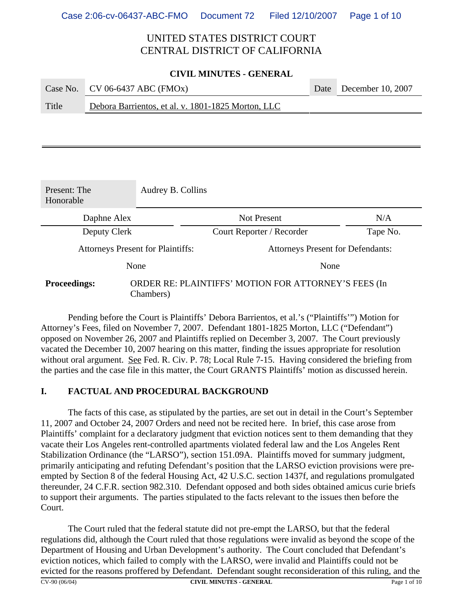#### **CIVIL MINUTES - GENERAL**

|       | Case No. CV 06-6437 ABC (FMOx)                     | Date December 10, 2007 |
|-------|----------------------------------------------------|------------------------|
| Title | Debora Barrientos, et al. v. 1801-1825 Morton, LLC |                        |

| Present: The<br>Honorable                                                                | Audrey B. Collins |                                          |          |
|------------------------------------------------------------------------------------------|-------------------|------------------------------------------|----------|
| Daphne Alex                                                                              |                   | <b>Not Present</b>                       | N/A      |
| Deputy Clerk                                                                             |                   | Court Reporter / Recorder                | Tape No. |
| <b>Attorneys Present for Plaintiffs:</b>                                                 |                   | <b>Attorneys Present for Defendants:</b> |          |
|                                                                                          | None              | None                                     |          |
| ORDER RE: PLAINTIFFS' MOTION FOR ATTORNEY'S FEES (In<br><b>Proceedings:</b><br>Chambers) |                   |                                          |          |

Pending before the Court is Plaintiffs' Debora Barrientos, et al.'s ("Plaintiffs'") Motion for Attorney's Fees, filed on November 7, 2007. Defendant 1801-1825 Morton, LLC ("Defendant") opposed on November 26, 2007 and Plaintiffs replied on December 3, 2007. The Court previously vacated the December 10, 2007 hearing on this matter, finding the issues appropriate for resolution without oral argument. See Fed. R. Civ. P. 78; Local Rule 7-15. Having considered the briefing from the parties and the case file in this matter, the Court GRANTS Plaintiffs' motion as discussed herein.

### **I. FACTUAL AND PROCEDURAL BACKGROUND**

The facts of this case, as stipulated by the parties, are set out in detail in the Court's September 11, 2007 and October 24, 2007 Orders and need not be recited here. In brief, this case arose from Plaintiffs' complaint for a declaratory judgment that eviction notices sent to them demanding that they vacate their Los Angeles rent-controlled apartments violated federal law and the Los Angeles Rent Stabilization Ordinance (the "LARSO"), section 151.09A. Plaintiffs moved for summary judgment, primarily anticipating and refuting Defendant's position that the LARSO eviction provisions were preempted by Section 8 of the federal Housing Act, 42 U.S.C. section 1437f, and regulations promulgated thereunder, 24 C.F.R. section 982.310. Defendant opposed and both sides obtained amicus curie briefs to support their arguments. The parties stipulated to the facts relevant to the issues then before the Court.

The Court ruled that the federal statute did not pre-empt the LARSO, but that the federal regulations did, although the Court ruled that those regulations were invalid as beyond the scope of the Department of Housing and Urban Development's authority. The Court concluded that Defendant's eviction notices, which failed to comply with the LARSO, were invalid and Plaintiffs could not be evicted for the reasons proffered by Defendant. Defendant sought reconsideration of this ruling, and the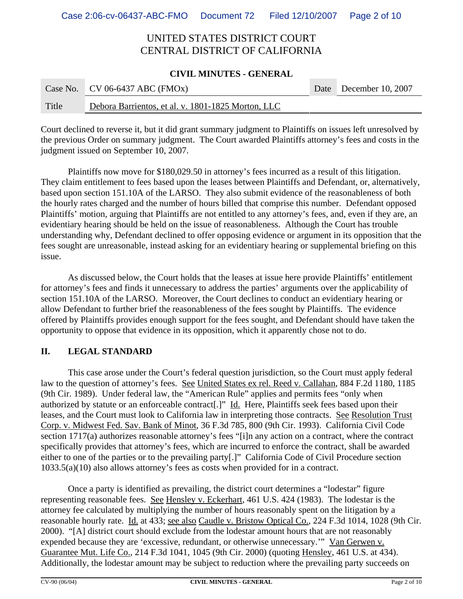#### **CIVIL MINUTES - GENERAL**

|       | Case No. CV 06-6437 ABC (FMOx)                     | Date December 10, 2007 |
|-------|----------------------------------------------------|------------------------|
| Title | Debora Barrientos, et al. v. 1801-1825 Morton, LLC |                        |

Court declined to reverse it, but it did grant summary judgment to Plaintiffs on issues left unresolved by the previous Order on summary judgment. The Court awarded Plaintiffs attorney's fees and costs in the judgment issued on September 10, 2007.

Plaintiffs now move for \$180,029.50 in attorney's fees incurred as a result of this litigation. They claim entitlement to fees based upon the leases between Plaintiffs and Defendant, or, alternatively, based upon section 151.10A of the LARSO. They also submit evidence of the reasonableness of both the hourly rates charged and the number of hours billed that comprise this number. Defendant opposed Plaintiffs' motion, arguing that Plaintiffs are not entitled to any attorney's fees, and, even if they are, an evidentiary hearing should be held on the issue of reasonableness. Although the Court has trouble understanding why, Defendant declined to offer opposing evidence or argument in its opposition that the fees sought are unreasonable, instead asking for an evidentiary hearing or supplemental briefing on this issue.

As discussed below, the Court holds that the leases at issue here provide Plaintiffs' entitlement for attorney's fees and finds it unnecessary to address the parties' arguments over the applicability of section 151.10A of the LARSO. Moreover, the Court declines to conduct an evidentiary hearing or allow Defendant to further brief the reasonableness of the fees sought by Plaintiffs. The evidence offered by Plaintiffs provides enough support for the fees sought, and Defendant should have taken the opportunity to oppose that evidence in its opposition, which it apparently chose not to do.

### **II. LEGAL STANDARD**

This case arose under the Court's federal question jurisdiction, so the Court must apply federal law to the question of attorney's fees. See United States ex rel. Reed v. Callahan, 884 F.2d 1180, 1185 (9th Cir. 1989). Under federal law, the "American Rule" applies and permits fees "only when authorized by statute or an enforceable contract[.]" Id. Here, Plaintiffs seek fees based upon their leases, and the Court must look to California law in interpreting those contracts. See Resolution Trust Corp. v. Midwest Fed. Sav. Bank of Minot, 36 F.3d 785, 800 (9th Cir. 1993). California Civil Code section 1717(a) authorizes reasonable attorney's fees "[i]n any action on a contract, where the contract specifically provides that attorney's fees, which are incurred to enforce the contract, shall be awarded either to one of the parties or to the prevailing party[.]" California Code of Civil Procedure section 1033.5(a)(10) also allows attorney's fees as costs when provided for in a contract.

Once a party is identified as prevailing, the district court determines a "lodestar" figure representing reasonable fees. See Hensley v. Eckerhart, 461 U.S. 424 (1983). The lodestar is the attorney fee calculated by multiplying the number of hours reasonably spent on the litigation by a reasonable hourly rate. Id. at 433; see also Caudle v. Bristow Optical Co., 224 F.3d 1014, 1028 (9th Cir. 2000). "[A] district court should exclude from the lodestar amount hours that are not reasonably expended because they are 'excessive, redundant, or otherwise unnecessary.'" Van Gerwen v. Guarantee Mut. Life Co., 214 F.3d 1041, 1045 (9th Cir. 2000) (quoting Hensley, 461 U.S. at 434). Additionally, the lodestar amount may be subject to reduction where the prevailing party succeeds on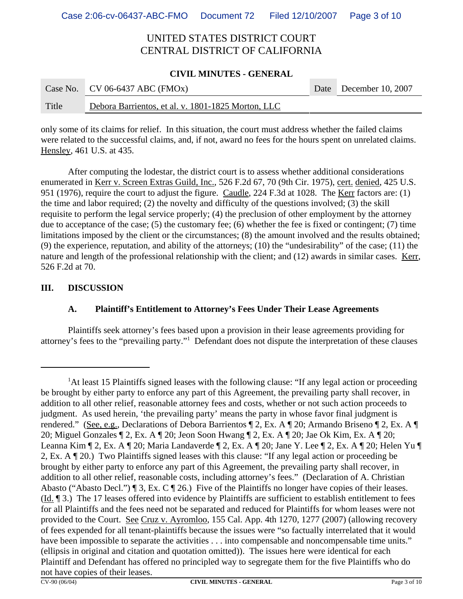#### **CIVIL MINUTES - GENERAL**

|       | Case No. CV 06-6437 ABC (FMOx)                     | Date December 10, 2007 |
|-------|----------------------------------------------------|------------------------|
| Title | Debora Barrientos, et al. v. 1801-1825 Morton, LLC |                        |

only some of its claims for relief. In this situation, the court must address whether the failed claims were related to the successful claims, and, if not, award no fees for the hours spent on unrelated claims. Hensley, 461 U.S. at 435.

After computing the lodestar, the district court is to assess whether additional considerations enumerated in Kerr v. Screen Extras Guild, Inc., 526 F.2d 67, 70 (9th Cir. 1975), cert. denied, 425 U.S. 951 (1976), require the court to adjust the figure. Caudle, 224 F.3d at 1028. The Kerr factors are: (1) the time and labor required; (2) the novelty and difficulty of the questions involved; (3) the skill requisite to perform the legal service properly; (4) the preclusion of other employment by the attorney due to acceptance of the case; (5) the customary fee; (6) whether the fee is fixed or contingent; (7) time limitations imposed by the client or the circumstances; (8) the amount involved and the results obtained; (9) the experience, reputation, and ability of the attorneys; (10) the "undesirability" of the case; (11) the nature and length of the professional relationship with the client; and (12) awards in similar cases. Kerr, 526 F.2d at 70.

### **III. DISCUSSION**

### **A. Plaintiff's Entitlement to Attorney's Fees Under Their Lease Agreements**

Plaintiffs seek attorney's fees based upon a provision in their lease agreements providing for attorney's fees to the "prevailing party."1 Defendant does not dispute the interpretation of these clauses

<sup>&</sup>lt;sup>1</sup>At least 15 Plaintiffs signed leases with the following clause: "If any legal action or proceeding be brought by either party to enforce any part of this Agreement, the prevailing party shall recover, in addition to all other relief, reasonable attorney fees and costs, whether or not such action proceeds to judgment. As used herein, 'the prevailing party' means the party in whose favor final judgment is rendered." (See, e.g., Declarations of Debora Barrientos ¶ 2, Ex. A ¶ 20; Armando Briseno ¶ 2, Ex. A ¶ 20; Miguel Gonzales ¶ 2, Ex. A ¶ 20; Jeon Soon Hwang ¶ 2, Ex. A ¶ 20; Jae Ok Kim, Ex. A ¶ 20; Leanna Kim ¶ 2, Ex. A ¶ 20; Maria Landaverde ¶ 2, Ex. A ¶ 20; Jane Y. Lee ¶ 2, Ex. A ¶ 20; Helen Yu ¶ 2, Ex. A ¶ 20.) Two Plaintiffs signed leases with this clause: "If any legal action or proceeding be brought by either party to enforce any part of this Agreement, the prevailing party shall recover, in addition to all other relief, reasonable costs, including attorney's fees." (Declaration of A. Christian Abasto ("Abasto Decl.") ¶ 3, Ex. C ¶ 26.) Five of the Plaintiffs no longer have copies of their leases. (Id. ¶ 3.) The 17 leases offered into evidence by Plaintiffs are sufficient to establish entitlement to fees for all Plaintiffs and the fees need not be separated and reduced for Plaintiffs for whom leases were not provided to the Court. See Cruz v. Ayromloo, 155 Cal. App. 4th 1270, 1277 (2007) (allowing recovery of fees expended for all tenant-plaintiffs because the issues were "so factually interrelated that it would have been impossible to separate the activities . . . into compensable and noncompensable time units." (ellipsis in original and citation and quotation omitted)). The issues here were identical for each Plaintiff and Defendant has offered no principled way to segregate them for the five Plaintiffs who do not have copies of their leases.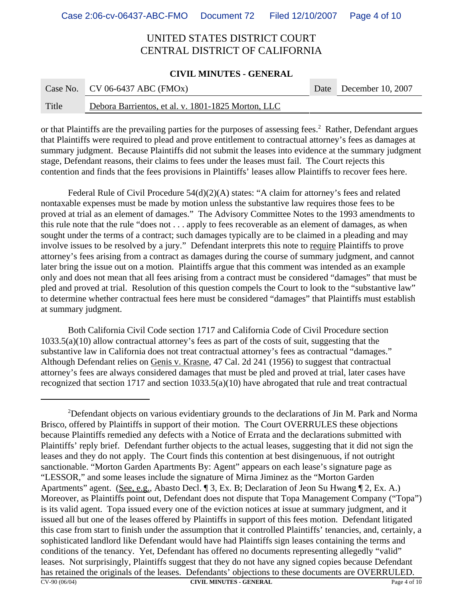#### **CIVIL MINUTES - GENERAL**

|       | Case No. CV 06-6437 ABC (FMOx)                     | Date December 10, 2007 |
|-------|----------------------------------------------------|------------------------|
| Title | Debora Barrientos, et al. v. 1801-1825 Morton, LLC |                        |

or that Plaintiffs are the prevailing parties for the purposes of assessing fees.<sup>2</sup> Rather, Defendant argues that Plaintiffs were required to plead and prove entitlement to contractual attorney's fees as damages at summary judgment. Because Plaintiffs did not submit the leases into evidence at the summary judgment stage, Defendant reasons, their claims to fees under the leases must fail. The Court rejects this contention and finds that the fees provisions in Plaintiffs' leases allow Plaintiffs to recover fees here.

Federal Rule of Civil Procedure 54(d)(2)(A) states: "A claim for attorney's fees and related nontaxable expenses must be made by motion unless the substantive law requires those fees to be proved at trial as an element of damages." The Advisory Committee Notes to the 1993 amendments to this rule note that the rule "does not . . . apply to fees recoverable as an element of damages, as when sought under the terms of a contract; such damages typically are to be claimed in a pleading and may involve issues to be resolved by a jury." Defendant interprets this note to require Plaintiffs to prove attorney's fees arising from a contract as damages during the course of summary judgment, and cannot later bring the issue out on a motion. Plaintiffs argue that this comment was intended as an example only and does not mean that all fees arising from a contract must be considered "damages" that must be pled and proved at trial. Resolution of this question compels the Court to look to the "substantive law" to determine whether contractual fees here must be considered "damages" that Plaintiffs must establish at summary judgment.

Both California Civil Code section 1717 and California Code of Civil Procedure section 1033.5(a)(10) allow contractual attorney's fees as part of the costs of suit, suggesting that the substantive law in California does not treat contractual attorney's fees as contractual "damages." Although Defendant relies on Genis v. Krasne, 47 Cal. 2d 241 (1956) to suggest that contractual attorney's fees are always considered damages that must be pled and proved at trial, later cases have recognized that section 1717 and section 1033.5(a)(10) have abrogated that rule and treat contractual

<sup>&</sup>lt;sup>2</sup>Defendant objects on various evidentiary grounds to the declarations of Jin M. Park and Norma Brisco, offered by Plaintiffs in support of their motion. The Court OVERRULES these objections because Plaintiffs remedied any defects with a Notice of Errata and the declarations submitted with Plaintiffs' reply brief. Defendant further objects to the actual leases, suggesting that it did not sign the leases and they do not apply. The Court finds this contention at best disingenuous, if not outright sanctionable. "Morton Garden Apartments By: Agent" appears on each lease's signature page as "LESSOR," and some leases include the signature of Mirna Jiminez as the "Morton Garden Apartments" agent. (See, e.g., Abasto Decl. ¶ 3, Ex. B; Declaration of Jeon Su Hwang ¶ 2, Ex. A.) Moreover, as Plaintiffs point out, Defendant does not dispute that Topa Management Company ("Topa") is its valid agent. Topa issued every one of the eviction notices at issue at summary judgment, and it issued all but one of the leases offered by Plaintiffs in support of this fees motion. Defendant litigated this case from start to finish under the assumption that it controlled Plaintiffs' tenancies, and, certainly, a sophisticated landlord like Defendant would have had Plaintiffs sign leases containing the terms and conditions of the tenancy. Yet, Defendant has offered no documents representing allegedly "valid" leases. Not surprisingly, Plaintiffs suggest that they do not have any signed copies because Defendant has retained the originals of the leases. Defendants' objections to these documents are OVERRULED.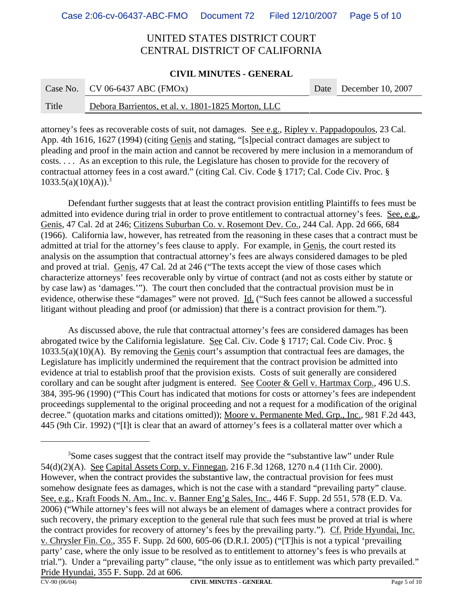#### **CIVIL MINUTES - GENERAL**

**COL** 

|       | Case No. CV 06-6437 ABC (FMOx)                     | Date December 10, 2007 |
|-------|----------------------------------------------------|------------------------|
| Title | Debora Barrientos, et al. v. 1801-1825 Morton, LLC |                        |

attorney's fees as recoverable costs of suit, not damages. See e.g., Ripley v. Pappadopoulos, 23 Cal. App. 4th 1616, 1627 (1994) (citing Genis and stating, "[s]pecial contract damages are subject to pleading and proof in the main action and cannot be recovered by mere inclusion in a memorandum of costs. . . . As an exception to this rule, the Legislature has chosen to provide for the recovery of contractual attorney fees in a cost award." (citing Cal. Civ. Code § 1717; Cal. Code Civ. Proc. §  $1033.5(a)(10)(A)$ .<sup>3</sup>

Defendant further suggests that at least the contract provision entitling Plaintiffs to fees must be admitted into evidence during trial in order to prove entitlement to contractual attorney's fees. See, e.g., Genis, 47 Cal. 2d at 246; Citizens Suburban Co. v. Rosemont Dev. Co., 244 Cal. App. 2d 666, 684 (1966). California law, however, has retreated from the reasoning in these cases that a contract must be admitted at trial for the attorney's fees clause to apply. For example, in Genis, the court rested its analysis on the assumption that contractual attorney's fees are always considered damages to be pled and proved at trial. Genis, 47 Cal. 2d at 246 ("The texts accept the view of those cases which characterize attorneys' fees recoverable only by virtue of contract (and not as costs either by statute or by case law) as 'damages.'"). The court then concluded that the contractual provision must be in evidence, otherwise these "damages" were not proved. Id. ("Such fees cannot be allowed a successful litigant without pleading and proof (or admission) that there is a contract provision for them.").

As discussed above, the rule that contractual attorney's fees are considered damages has been abrogated twice by the California legislature. See Cal. Civ. Code § 1717; Cal. Code Civ. Proc. § 1033.5(a)(10)(A). By removing the Genis court's assumption that contractual fees are damages, the Legislature has implicitly undermined the requirement that the contract provision be admitted into evidence at trial to establish proof that the provision exists. Costs of suit generally are considered corollary and can be sought after judgment is entered. See Cooter & Gell v. Hartmax Corp., 496 U.S. 384, 395-96 (1990) ("This Court has indicated that motions for costs or attorney's fees are independent proceedings supplemental to the original proceeding and not a request for a modification of the original decree." (quotation marks and citations omitted)); Moore v. Permanente Med. Grp., Inc., 981 F.2d 443, 445 (9th Cir. 1992) ("[I]t is clear that an award of attorney's fees is a collateral matter over which a

<sup>&</sup>lt;sup>3</sup>Some cases suggest that the contract itself may provide the "substantive law" under Rule 54(d)(2)(A). See Capital Assets Corp. v. Finnegan, 216 F.3d 1268, 1270 n.4 (11th Cir. 2000). However, when the contract provides the substantive law, the contractual provision for fees must somehow designate fees as damages, which is not the case with a standard "prevailing party" clause. See, e.g., Kraft Foods N. Am., Inc. v. Banner Eng'g Sales, Inc., 446 F. Supp. 2d 551, 578 (E.D. Va. 2006) ("While attorney's fees will not always be an element of damages where a contract provides for such recovery, the primary exception to the general rule that such fees must be proved at trial is where the contract provides for recovery of attorney's fees by the prevailing party."). Cf. Pride Hyundai, Inc. v. Chrysler Fin. Co., 355 F. Supp. 2d 600, 605-06 (D.R.I. 2005) ("[T]his is not a typical 'prevailing party' case, where the only issue to be resolved as to entitlement to attorney's fees is who prevails at trial."). Under a "prevailing party" clause, "the only issue as to entitlement was which party prevailed." Pride Hyundai, 355 F. Supp. 2d at 606.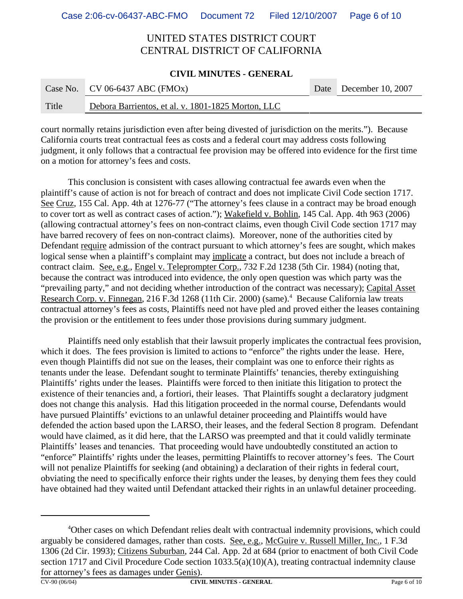#### **CIVIL MINUTES - GENERAL**

|       | Case No. CV 06-6437 ABC (FMOx)                     | Date December 10, 2007 |
|-------|----------------------------------------------------|------------------------|
| Title | Debora Barrientos, et al. v. 1801-1825 Morton, LLC |                        |

court normally retains jurisdiction even after being divested of jurisdiction on the merits."). Because California courts treat contractual fees as costs and a federal court may address costs following judgment, it only follows that a contractual fee provision may be offered into evidence for the first time on a motion for attorney's fees and costs.

This conclusion is consistent with cases allowing contractual fee awards even when the plaintiff's cause of action is not for breach of contract and does not implicate Civil Code section 1717. See Cruz, 155 Cal. App. 4th at 1276-77 ("The attorney's fees clause in a contract may be broad enough to cover tort as well as contract cases of action."); Wakefield v. Bohlin, 145 Cal. App. 4th 963 (2006) (allowing contractual attorney's fees on non-contract claims, even though Civil Code section 1717 may have barred recovery of fees on non-contract claims). Moreover, none of the authorities cited by Defendant require admission of the contract pursuant to which attorney's fees are sought, which makes logical sense when a plaintiff's complaint may implicate a contract, but does not include a breach of contract claim. See, e.g., Engel v. Teleprompter Corp., 732 F.2d 1238 (5th Cir. 1984) (noting that, because the contract was introduced into evidence, the only open question was which party was the "prevailing party," and not deciding whether introduction of the contract was necessary); Capital Asset Research Corp. v. Finnegan, 216 F.3d 1268 (11th Cir. 2000) (same).<sup>4</sup> Because California law treats contractual attorney's fees as costs, Plaintiffs need not have pled and proved either the leases containing the provision or the entitlement to fees under those provisions during summary judgment.

Plaintiffs need only establish that their lawsuit properly implicates the contractual fees provision, which it does. The fees provision is limited to actions to "enforce" the rights under the lease. Here, even though Plaintiffs did not sue on the leases, their complaint was one to enforce their rights as tenants under the lease. Defendant sought to terminate Plaintiffs' tenancies, thereby extinguishing Plaintiffs' rights under the leases. Plaintiffs were forced to then initiate this litigation to protect the existence of their tenancies and, a fortiori, their leases. That Plaintiffs sought a declaratory judgment does not change this analysis. Had this litigation proceeded in the normal course, Defendants would have pursued Plaintiffs' evictions to an unlawful detainer proceeding and Plaintiffs would have defended the action based upon the LARSO, their leases, and the federal Section 8 program. Defendant would have claimed, as it did here, that the LARSO was preempted and that it could validly terminate Plaintiffs' leases and tenancies. That proceeding would have undoubtedly constituted an action to "enforce" Plaintiffs' rights under the leases, permitting Plaintiffs to recover attorney's fees. The Court will not penalize Plaintiffs for seeking (and obtaining) a declaration of their rights in federal court, obviating the need to specifically enforce their rights under the leases, by denying them fees they could have obtained had they waited until Defendant attacked their rights in an unlawful detainer proceeding.

<sup>&</sup>lt;sup>4</sup>Other cases on which Defendant relies dealt with contractual indemnity provisions, which could arguably be considered damages, rather than costs. See, e.g., McGuire v. Russell Miller, Inc., 1 F.3d 1306 (2d Cir. 1993); Citizens Suburban, 244 Cal. App. 2d at 684 (prior to enactment of both Civil Code section 1717 and Civil Procedure Code section 1033.5(a)(10)(A), treating contractual indemnity clause for attorney's fees as damages under Genis).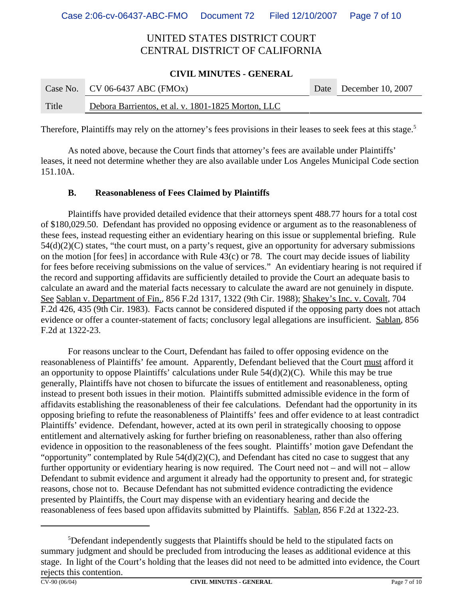#### **CIVIL MINUTES - GENERAL**

|       | Case No. CV 06-6437 ABC (FMOx)                     | Date December 10, 2007 |
|-------|----------------------------------------------------|------------------------|
| Title | Debora Barrientos, et al. v. 1801-1825 Morton, LLC |                        |

Therefore, Plaintiffs may rely on the attorney's fees provisions in their leases to seek fees at this stage.<sup>5</sup>

As noted above, because the Court finds that attorney's fees are available under Plaintiffs' leases, it need not determine whether they are also available under Los Angeles Municipal Code section 151.10A.

### **B. Reasonableness of Fees Claimed by Plaintiffs**

Plaintiffs have provided detailed evidence that their attorneys spent 488.77 hours for a total cost of \$180,029.50. Defendant has provided no opposing evidence or argument as to the reasonableness of these fees, instead requesting either an evidentiary hearing on this issue or supplemental briefing. Rule 54(d)(2)(C) states, "the court must, on a party's request, give an opportunity for adversary submissions on the motion [for fees] in accordance with Rule 43(c) or 78. The court may decide issues of liability for fees before receiving submissions on the value of services." An evidentiary hearing is not required if the record and supporting affidavits are sufficiently detailed to provide the Court an adequate basis to calculate an award and the material facts necessary to calculate the award are not genuinely in dispute. See Sablan v. Department of Fin., 856 F.2d 1317, 1322 (9th Cir. 1988); Shakey's Inc. v. Covalt, 704 F.2d 426, 435 (9th Cir. 1983). Facts cannot be considered disputed if the opposing party does not attach evidence or offer a counter-statement of facts; conclusory legal allegations are insufficient. Sablan, 856 F.2d at 1322-23.

For reasons unclear to the Court, Defendant has failed to offer opposing evidence on the reasonableness of Plaintiffs' fee amount. Apparently, Defendant believed that the Court must afford it an opportunity to oppose Plaintiffs' calculations under Rule 54(d)(2)(C). While this may be true generally, Plaintiffs have not chosen to bifurcate the issues of entitlement and reasonableness, opting instead to present both issues in their motion. Plaintiffs submitted admissible evidence in the form of affidavits establishing the reasonableness of their fee calculations. Defendant had the opportunity in its opposing briefing to refute the reasonableness of Plaintiffs' fees and offer evidence to at least contradict Plaintiffs' evidence. Defendant, however, acted at its own peril in strategically choosing to oppose entitlement and alternatively asking for further briefing on reasonableness, rather than also offering evidence in opposition to the reasonableness of the fees sought. Plaintiffs' motion gave Defendant the "opportunity" contemplated by Rule  $54(d)(2)(C)$ , and Defendant has cited no case to suggest that any further opportunity or evidentiary hearing is now required. The Court need not – and will not – allow Defendant to submit evidence and argument it already had the opportunity to present and, for strategic reasons, chose not to. Because Defendant has not submitted evidence contradicting the evidence presented by Plaintiffs, the Court may dispense with an evidentiary hearing and decide the reasonableness of fees based upon affidavits submitted by Plaintiffs. Sablan, 856 F.2d at 1322-23.

<sup>&</sup>lt;sup>5</sup>Defendant independently suggests that Plaintiffs should be held to the stipulated facts on summary judgment and should be precluded from introducing the leases as additional evidence at this stage. In light of the Court's holding that the leases did not need to be admitted into evidence, the Court rejects this contention.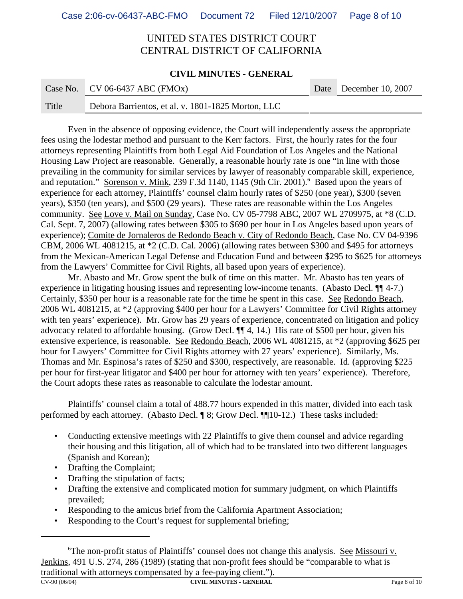#### **CIVIL MINUTES - GENERAL**

|       | Case No. CV 06-6437 ABC (FMOx)                     | Date December 10, 2007 |
|-------|----------------------------------------------------|------------------------|
| Title | Debora Barrientos, et al. v. 1801-1825 Morton, LLC |                        |

Even in the absence of opposing evidence, the Court will independently assess the appropriate fees using the lodestar method and pursuant to the Kerr factors. First, the hourly rates for the four attorneys representing Plaintiffs from both Legal Aid Foundation of Los Angeles and the National Housing Law Project are reasonable. Generally, a reasonable hourly rate is one "in line with those prevailing in the community for similar services by lawyer of reasonably comparable skill, experience, and reputation." Sorenson v. Mink, 239 F.3d 1140, 1145 (9th Cir. 2001).<sup>6</sup> Based upon the years of experience for each attorney, Plaintiffs' counsel claim hourly rates of \$250 (one year), \$300 (seven years), \$350 (ten years), and \$500 (29 years). These rates are reasonable within the Los Angeles community. See Love v. Mail on Sunday, Case No. CV 05-7798 ABC, 2007 WL 2709975, at \*8 (C.D. Cal. Sept. 7, 2007) (allowing rates between \$305 to \$690 per hour in Los Angeles based upon years of experience); Comite de Jornaleros de Redondo Beach v. City of Redondo Beach, Case No. CV 04-9396 CBM, 2006 WL 4081215, at \*2 (C.D. Cal. 2006) (allowing rates between \$300 and \$495 for attorneys from the Mexican-American Legal Defense and Education Fund and between \$295 to \$625 for attorneys from the Lawyers' Committee for Civil Rights, all based upon years of experience).

Mr. Abasto and Mr. Grow spent the bulk of time on this matter. Mr. Abasto has ten years of experience in litigating housing issues and representing low-income tenants. (Abasto Decl. ¶¶ 4-7.) Certainly, \$350 per hour is a reasonable rate for the time he spent in this case. See Redondo Beach, 2006 WL 4081215, at \*2 (approving \$400 per hour for a Lawyers' Committee for Civil Rights attorney with ten years' experience). Mr. Grow has 29 years of experience, concentrated on litigation and policy advocacy related to affordable housing. (Grow Decl. ¶¶ 4, 14.) His rate of \$500 per hour, given his extensive experience, is reasonable. See Redondo Beach, 2006 WL 4081215, at \*2 (approving \$625 per hour for Lawyers' Committee for Civil Rights attorney with 27 years' experience). Similarly, Ms. Thomas and Mr. Espinosa's rates of \$250 and \$300, respectively, are reasonable. Id. (approving \$225 per hour for first-year litigator and \$400 per hour for attorney with ten years' experience). Therefore, the Court adopts these rates as reasonable to calculate the lodestar amount.

Plaintiffs' counsel claim a total of 488.77 hours expended in this matter, divided into each task performed by each attorney. (Abasto Decl. ¶ 8; Grow Decl. ¶ 10-12.) These tasks included:

- Conducting extensive meetings with 22 Plaintiffs to give them counsel and advice regarding their housing and this litigation, all of which had to be translated into two different languages (Spanish and Korean);
- Drafting the Complaint;
- Drafting the stipulation of facts;
- Drafting the extensive and complicated motion for summary judgment, on which Plaintiffs prevailed;
- Responding to the amicus brief from the California Apartment Association;
- Responding to the Court's request for supplemental briefing;

<sup>6</sup>The non-profit status of Plaintiffs' counsel does not change this analysis. See Missouri v. Jenkins, 491 U.S. 274, 286 (1989) (stating that non-profit fees should be "comparable to what is traditional with attorneys compensated by a fee-paying client.").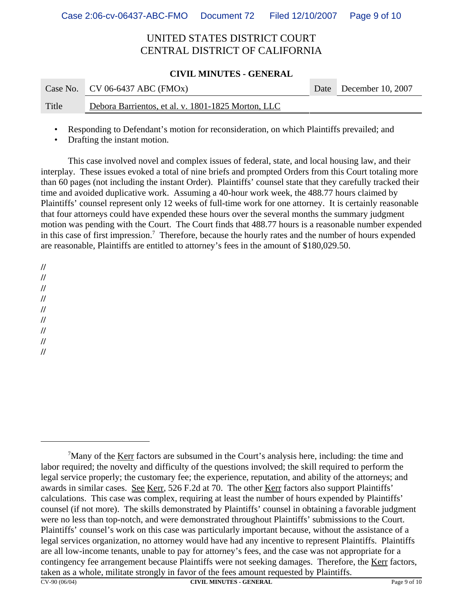### **CIVIL MINUTES - GENERAL**

|       | Case No. CV 06-6437 ABC (FMOx)                     | Date December 10, 2007 |
|-------|----------------------------------------------------|------------------------|
| Title | Debora Barrientos, et al. v. 1801-1825 Morton, LLC |                        |

• Responding to Defendant's motion for reconsideration, on which Plaintiffs prevailed; and

Drafting the instant motion.

This case involved novel and complex issues of federal, state, and local housing law, and their interplay. These issues evoked a total of nine briefs and prompted Orders from this Court totaling more than 60 pages (not including the instant Order). Plaintiffs' counsel state that they carefully tracked their time and avoided duplicative work. Assuming a 40-hour work week, the 488.77 hours claimed by Plaintiffs' counsel represent only 12 weeks of full-time work for one attorney. It is certainly reasonable that four attorneys could have expended these hours over the several months the summary judgment motion was pending with the Court. The Court finds that 488.77 hours is a reasonable number expended in this case of first impression.<sup>7</sup> Therefore, because the hourly rates and the number of hours expended are reasonable, Plaintiffs are entitled to attorney's fees in the amount of \$180,029.50.

**//**

**//**

**//**

**//**

**//**

**// //**

**// //**

 $\frac{7}{1}$ Many of the Kerr factors are subsumed in the Court's analysis here, including: the time and labor required; the novelty and difficulty of the questions involved; the skill required to perform the legal service properly; the customary fee; the experience, reputation, and ability of the attorneys; and awards in similar cases. See Kerr, 526 F.2d at 70. The other Kerr factors also support Plaintiffs' calculations. This case was complex, requiring at least the number of hours expended by Plaintiffs' counsel (if not more). The skills demonstrated by Plaintiffs' counsel in obtaining a favorable judgment were no less than top-notch, and were demonstrated throughout Plaintiffs' submissions to the Court. Plaintiffs' counsel's work on this case was particularly important because, without the assistance of a legal services organization, no attorney would have had any incentive to represent Plaintiffs. Plaintiffs are all low-income tenants, unable to pay for attorney's fees, and the case was not appropriate for a contingency fee arrangement because Plaintiffs were not seeking damages. Therefore, the Kerr factors, taken as a whole, militate strongly in favor of the fees amount requested by Plaintiffs.